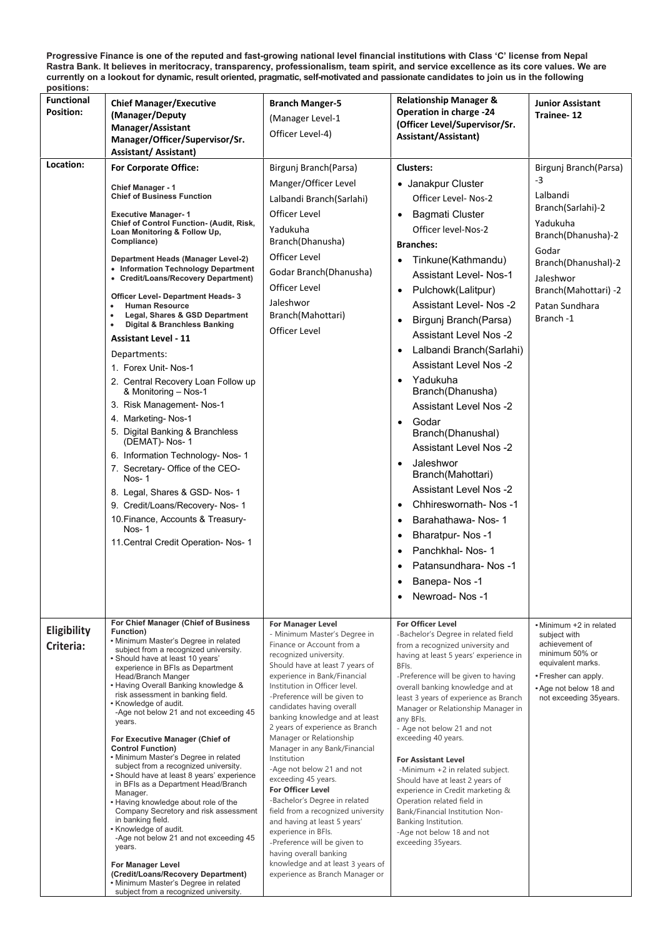**Progressive Finance is one of the reputed and fast-growing national level financial institutions with Class 'C' license from Nepal** Rastra Bank. It believes in meritocracy, transparency, professionalism, team spirit, and service excellence as its core values. We are currently on a lookout for dynamic, result oriented, pragmatic, self-motivated and passionate candidates to join us in the following **positions:**

| <b>Functional</b><br>Position:<br>Location: | <b>Chief Manager/Executive</b><br>(Manager/Deputy<br>Manager/Assistant<br>Manager/Officer/Supervisor/Sr.<br>Assistant/ Assistant)<br><b>For Corporate Office:</b><br><b>Chief Manager - 1</b><br><b>Chief of Business Function</b><br><b>Executive Manager-1</b><br>Chief of Control Function- (Audit, Risk,<br>Loan Monitoring & Follow Up,<br>Compliance)<br>Department Heads (Manager Level-2)<br>• Information Technology Department<br>• Credit/Loans/Recovery Department)<br><b>Officer Level- Department Heads-3</b><br><b>Human Resource</b><br>Legal, Shares & GSD Department<br>$\bullet$<br><b>Digital &amp; Branchless Banking</b><br>$\bullet$<br><b>Assistant Level - 11</b><br>Departments:                                                                                                                                                                                                                                                                        | <b>Branch Manger-5</b><br>(Manager Level-1<br>Officer Level-4)<br>Birgunj Branch(Parsa)<br>Manger/Officer Level<br>Lalbandi Branch (Sarlahi)<br><b>Officer Level</b><br>Yadukuha<br>Branch(Dhanusha)<br>Officer Level<br>Godar Branch(Dhanusha)<br><b>Officer Level</b><br>Jaleshwor<br>Branch(Mahottari)<br>Officer Level                                                                                                                                                                                                                                                                                                                                                                                                                                                       | <b>Relationship Manager &amp;</b><br><b>Operation in charge -24</b><br>(Officer Level/Supervisor/Sr.<br>Assistant/Assistant)<br><b>Clusters:</b><br>• Janakpur Cluster<br>Officer Level- Nos-2<br><b>Bagmati Cluster</b><br>$\bullet$<br>Officer level-Nos-2<br><b>Branches:</b><br>Tinkune(Kathmandu)<br>$\bullet$<br><b>Assistant Level- Nos-1</b><br>Pulchowk(Lalitpur)<br>$\bullet$<br><b>Assistant Level- Nos-2</b><br>Birgunj Branch(Parsa)<br>$\bullet$<br><b>Assistant Level Nos -2</b><br>Lalbandi Branch (Sarlahi)<br>$\bullet$<br><b>Assistant Level Nos -2</b>                                                                                             | <b>Junior Assistant</b><br>Trainee-12<br>Birgunj Branch(Parsa)<br>$-3$<br>Lalbandi<br>Branch(Sarlahi)-2<br>Yadukuha<br>Branch(Dhanusha)-2<br>Godar<br>Branch(Dhanushal)-2<br>Jaleshwor<br>Branch(Mahottari) -2<br>Patan Sundhara<br>Branch-1 |
|---------------------------------------------|-----------------------------------------------------------------------------------------------------------------------------------------------------------------------------------------------------------------------------------------------------------------------------------------------------------------------------------------------------------------------------------------------------------------------------------------------------------------------------------------------------------------------------------------------------------------------------------------------------------------------------------------------------------------------------------------------------------------------------------------------------------------------------------------------------------------------------------------------------------------------------------------------------------------------------------------------------------------------------------|----------------------------------------------------------------------------------------------------------------------------------------------------------------------------------------------------------------------------------------------------------------------------------------------------------------------------------------------------------------------------------------------------------------------------------------------------------------------------------------------------------------------------------------------------------------------------------------------------------------------------------------------------------------------------------------------------------------------------------------------------------------------------------|------------------------------------------------------------------------------------------------------------------------------------------------------------------------------------------------------------------------------------------------------------------------------------------------------------------------------------------------------------------------------------------------------------------------------------------------------------------------------------------------------------------------------------------------------------------------------------------------------------------------------------------------------------------------|----------------------------------------------------------------------------------------------------------------------------------------------------------------------------------------------------------------------------------------------|
|                                             | 1. Forex Unit-Nos-1<br>2. Central Recovery Loan Follow up<br>& Monitoring - Nos-1<br>3. Risk Management- Nos-1<br>4. Marketing-Nos-1<br>5. Digital Banking & Branchless<br>(DEMAT)- Nos- 1<br>6. Information Technology- Nos- 1<br>7. Secretary- Office of the CEO-<br>Nos-1<br>8. Legal, Shares & GSD- Nos- 1<br>9. Credit/Loans/Recovery- Nos- 1<br>10. Finance, Accounts & Treasury-<br>Nos-1<br>11. Central Credit Operation- Nos- 1                                                                                                                                                                                                                                                                                                                                                                                                                                                                                                                                          |                                                                                                                                                                                                                                                                                                                                                                                                                                                                                                                                                                                                                                                                                                                                                                                  | Yadukuha<br>$\bullet$<br>Branch(Dhanusha)<br><b>Assistant Level Nos -2</b><br>Godar<br>$\bullet$<br>Branch(Dhanushal)<br><b>Assistant Level Nos -2</b><br>Jaleshwor<br>$\bullet$<br>Branch(Mahottari)<br><b>Assistant Level Nos -2</b><br>Chhireswornath-Nos-1<br>$\bullet$<br>Barahathawa-Nos-1<br>$\bullet$<br><b>Bharatpur-Nos-1</b><br>$\bullet$<br>Panchkhal- Nos- 1<br>$\bullet$<br>Patansundhara-Nos-1<br>Banepa-Nos-1<br>$\bullet$<br>Newroad-Nos-1<br>$\bullet$                                                                                                                                                                                               |                                                                                                                                                                                                                                              |
| Eligibility<br>Criteria:                    | For Chief Manager (Chief of Business<br>Function)<br>• Minimum Master's Degree in related<br>subject from a recognized university.<br>• Should have at least 10 years'<br>experience in BFIs as Department<br>Head/Branch Manger<br>• Having Overall Banking knowledge &<br>risk assessment in banking field.<br>• Knowledge of audit.<br>-Age not below 21 and not exceeding 45<br>years.<br>For Executive Manager (Chief of<br><b>Control Function)</b><br>• Minimum Master's Degree in related<br>subject from a recognized university.<br>• Should have at least 8 years' experience<br>in BFIs as a Department Head/Branch<br>Manager.<br>• Having knowledge about role of the<br>Company Secretory and risk assessment<br>in banking field.<br>• Knowledge of audit.<br>-Age not below 21 and not exceeding 45<br>years.<br><b>For Manager Level</b><br>(Credit/Loans/Recovery Department)<br>• Minimum Master's Degree in related<br>subject from a recognized university. | <b>For Manager Level</b><br>- Minimum Master's Degree in<br>Finance or Account from a<br>recognized university.<br>Should have at least 7 years of<br>experience in Bank/Financial<br>Institution in Officer level.<br>-Preference will be given to<br>candidates having overall<br>banking knowledge and at least<br>2 years of experience as Branch<br>Manager or Relationship<br>Manager in any Bank/Financial<br>Institution<br>-Age not below 21 and not<br>exceeding 45 years.<br><b>For Officer Level</b><br>-Bachelor's Degree in related<br>field from a recognized university<br>and having at least 5 years'<br>experience in BFIs.<br>-Preference will be given to<br>having overall banking<br>knowledge and at least 3 years of<br>experience as Branch Manager or | <b>For Officer Level</b><br>-Bachelor's Degree in related field<br>from a recognized university and<br>having at least 5 years' experience in<br>BFIs.<br>-Preference will be given to having<br>overall banking knowledge and at<br>least 3 years of experience as Branch<br>Manager or Relationship Manager in<br>any BFIs.<br>- Age not below 21 and not<br>exceeding 40 years.<br><b>For Assistant Level</b><br>-Minimum +2 in related subject.<br>Should have at least 2 years of<br>experience in Credit marketing &<br>Operation related field in<br>Bank/Financial Institution Non-<br>Banking Institution.<br>-Age not below 18 and not<br>exceeding 35years. | • Minimum +2 in related<br>subject with<br>achievement of<br>minimum 50% or<br>equivalent marks.<br>• Fresher can apply.<br>• Age not below 18 and<br>not exceeding 35years.                                                                 |